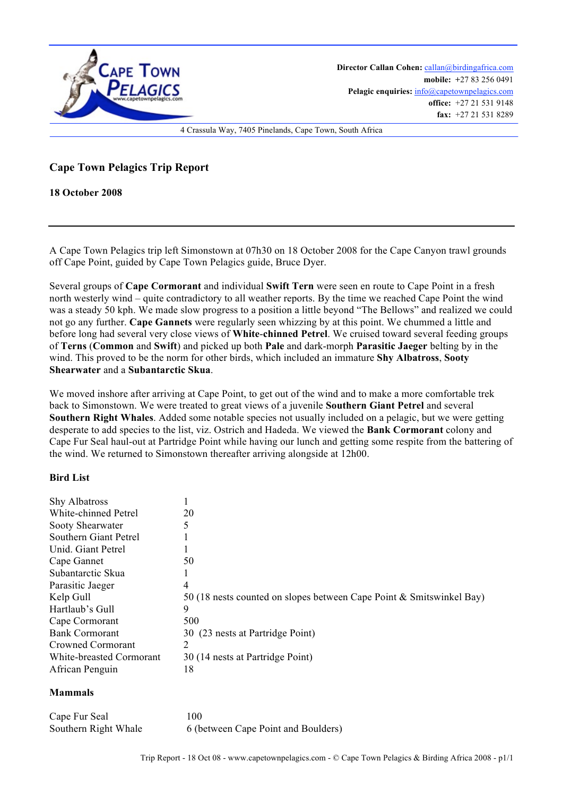

**Director Callan Cohen:** callan@birdingafrica.com **mobile: +**27 83 256 0491 Pelagic enquiries:  $info@capetownpelagics.com$ **office:** +27 21 531 9148 **fax:** +27 21 531 8289

4 Crassula Way, 7405 Pinelands, Cape Town, South Africa

## **Cape Town Pelagics Trip Report**

## **18 October 2008**

A Cape Town Pelagics trip left Simonstown at 07h30 on 18 October 2008 for the Cape Canyon trawl grounds off Cape Point, guided by Cape Town Pelagics guide, Bruce Dyer.

Several groups of **Cape Cormorant** and individual **Swift Tern** were seen en route to Cape Point in a fresh north westerly wind – quite contradictory to all weather reports. By the time we reached Cape Point the wind was a steady 50 kph. We made slow progress to a position a little beyond "The Bellows" and realized we could not go any further. **Cape Gannets** were regularly seen whizzing by at this point. We chummed a little and before long had several very close views of **White**-**chinned Petrel**. We cruised toward several feeding groups of **Terns** (**Common** and **Swift**) and picked up both **Pale** and dark-morph **Parasitic Jaeger** belting by in the wind. This proved to be the norm for other birds, which included an immature **Shy Albatross**, **Sooty Shearwater** and a **Subantarctic Skua**.

We moved inshore after arriving at Cape Point, to get out of the wind and to make a more comfortable trek back to Simonstown. We were treated to great views of a juvenile **Southern Giant Petrel** and several **Southern Right Whales**. Added some notable species not usually included on a pelagic, but we were getting desperate to add species to the list, viz. Ostrich and Hadeda. We viewed the **Bank Cormorant** colony and Cape Fur Seal haul-out at Partridge Point while having our lunch and getting some respite from the battering of the wind. We returned to Simonstown thereafter arriving alongside at 12h00.

## **Bird List**

| <b>Shy Albatross</b>     |                                                                      |
|--------------------------|----------------------------------------------------------------------|
| White-chinned Petrel     | 20                                                                   |
| Sooty Shearwater         |                                                                      |
| Southern Giant Petrel    |                                                                      |
| Unid. Giant Petrel       |                                                                      |
| Cape Gannet              | 50                                                                   |
| Subantarctic Skua        |                                                                      |
| Parasitic Jaeger         | 4                                                                    |
| Kelp Gull                | 50 (18 nests counted on slopes between Cape Point & Smitswinkel Bay) |
| Hartlaub's Gull          | 9                                                                    |
| Cape Cormorant           | 500                                                                  |
| <b>Bank Cormorant</b>    | 30 (23 nests at Partridge Point)                                     |
| Crowned Cormorant        |                                                                      |
| White-breasted Cormorant | 30 (14 nests at Partridge Point)                                     |
| African Penguin          | 18                                                                   |

## **Mammals**

| Cape Fur Seal        | 100                                 |
|----------------------|-------------------------------------|
| Southern Right Whale | 6 (between Cape Point and Boulders) |